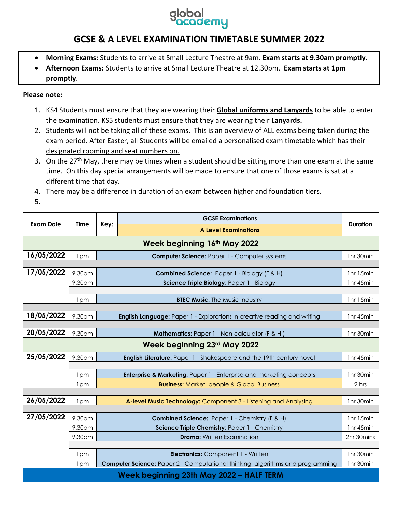## **GCSE & A LEVEL EXAMINATION TIMETABLE SUMMER 2022**

- **Morning Exams:** Students to arrive at Small Lecture Theatre at 9am. **Exam starts at 9.30am promptly.**
- **Afternoon Exams:** Students to arrive at Small Lecture Theatre at 12.30pm. **Exam starts at 1pm promptly**.

### **Please note:**

- 1. KS4 Students must ensure that they are wearing their **Global uniforms and Lanyards** to be able to enter the examination. KS5 students must ensure that they are wearing their **Lanyards.**
- 2. Students will not be taking all of these exams. This is an overview of ALL exams being taken during the exam period. After Easter, all Students will be emailed a personalised exam timetable which has their designated rooming and seat numbers on.
- 3. On the 27<sup>th</sup> May, there may be times when a student should be sitting more than one exam at the same time. On this day special arrangements will be made to ensure that one of those exams is sat at a different time that day.
- 4. There may be a difference in duration of an exam between higher and foundation tiers.
- 5.

| <b>Exam Date</b>                         | Time            | Key:                                                             | <b>GCSE Examinations</b>                                                              | <b>Duration</b> |  |  |  |
|------------------------------------------|-----------------|------------------------------------------------------------------|---------------------------------------------------------------------------------------|-----------------|--|--|--|
|                                          |                 |                                                                  | <b>A Level Examinations</b>                                                           |                 |  |  |  |
| Week beginning 16th May 2022             |                 |                                                                  |                                                                                       |                 |  |  |  |
| 16/05/2022                               | 1pm             | 1hr 30min<br><b>Computer Science: Paper 1 - Computer systems</b> |                                                                                       |                 |  |  |  |
|                                          |                 |                                                                  |                                                                                       |                 |  |  |  |
| 17/05/2022                               | 9.30am          |                                                                  | Combined Science: Paper 1 - Biology (F & H)                                           | 1hr 15min       |  |  |  |
|                                          | 9.30am          |                                                                  | Science Triple Biology: Paper 1 - Biology                                             | 1hr 45min       |  |  |  |
|                                          |                 |                                                                  |                                                                                       |                 |  |  |  |
|                                          | 1pm             |                                                                  | <b>BTEC Music: The Music Industry</b>                                                 | 1hr 15min       |  |  |  |
|                                          |                 |                                                                  |                                                                                       |                 |  |  |  |
| 18/05/2022                               | 9.30am          |                                                                  | <b>English Language:</b> Paper 1 - Explorations in creative reading and writing       | 1hr 45min       |  |  |  |
|                                          |                 |                                                                  |                                                                                       |                 |  |  |  |
| 20/05/2022                               | 9.30am          |                                                                  | Mathematics: Paper 1 - Non-calculator (F & H)                                         | 1hr 30min       |  |  |  |
| Week beginning 23rd May 2022             |                 |                                                                  |                                                                                       |                 |  |  |  |
| 25/05/2022                               | 9.30am          |                                                                  | <b>English Literature:</b> Paper 1 - Shakespeare and the 19th century novel           | 1hr 45min       |  |  |  |
|                                          |                 |                                                                  |                                                                                       |                 |  |  |  |
|                                          | 1 <sub>pm</sub> |                                                                  | <b>Enterprise &amp; Marketing: Paper 1 - Enterprise and marketing concepts</b>        | 1hr 30min       |  |  |  |
|                                          | 1pm             |                                                                  | <b>Business:</b> Market, people & Global Business                                     | 2 hrs           |  |  |  |
|                                          |                 |                                                                  |                                                                                       |                 |  |  |  |
| 26/05/2022                               | 1pm             |                                                                  | A-level Music Technology: Component 3 - Listening and Analysing                       | 1hr 30min       |  |  |  |
|                                          |                 |                                                                  |                                                                                       |                 |  |  |  |
| 27/05/2022                               | 9.30am          |                                                                  | <b>Combined Science: Paper 1 - Chemistry (F &amp; H)</b>                              | 1hr 15min       |  |  |  |
|                                          | 9.30am          |                                                                  | Science Triple Chemistry: Paper 1 - Chemistry                                         | 1hr 45min       |  |  |  |
|                                          | 9.30am          |                                                                  | <b>Drama:</b> Written Examination                                                     | 2hr 30mins      |  |  |  |
|                                          |                 |                                                                  |                                                                                       |                 |  |  |  |
|                                          | 1 <sub>pm</sub> |                                                                  | <b>Electronics:</b> Component 1 - Written                                             | 1hr 30min       |  |  |  |
|                                          | 1 <sub>pm</sub> |                                                                  | <b>Computer Science:</b> Paper 2 - Computational thinking, algorithms and programming | 1hr 30min       |  |  |  |
| Week beginning 23th May 2022 - HALF TERM |                 |                                                                  |                                                                                       |                 |  |  |  |